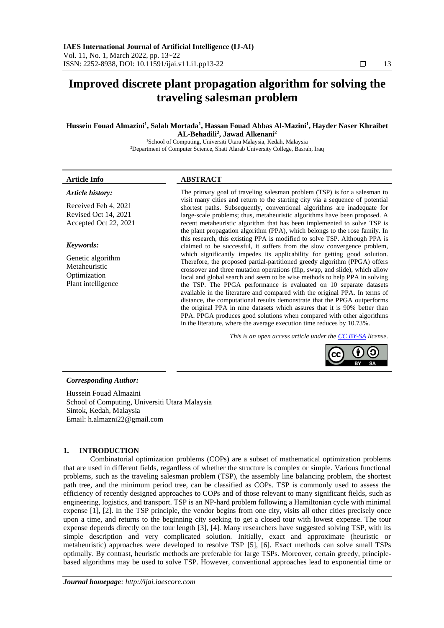# **Improved discrete plant propagation algorithm for solving the traveling salesman problem**

#### **Hussein Fouad Almazini<sup>1</sup> , Salah Mortada<sup>1</sup> , Hassan Fouad Abbas Al-Mazini<sup>1</sup> , Hayder Naser Khraibet AL-Behadili<sup>2</sup> , Jawad Alkenani<sup>2</sup>**

<sup>1</sup>School of Computing, Universiti Utara Malaysia, Kedah, Malaysia <sup>2</sup>Department of Computer Science, Shatt Alarab University College, Basrah, Iraq

## **Article Info ABSTRACT** *Article history:*

Received Feb 4, 2021 Revised Oct 14, 2021 Accepted Oct 22, 2021

### *Keywords:*

Genetic algorithm Metaheuristic Optimization Plant intelligence

The primary goal of traveling salesman problem (TSP) is for a salesman to visit many cities and return to the starting city via a sequence of potential shortest paths. Subsequently, conventional algorithms are inadequate for large-scale problems; thus, metaheuristic algorithms have been proposed. A recent metaheuristic algorithm that has been implemented to solve TSP is the plant propagation algorithm (PPA), which belongs to the rose family. In this research, this existing PPA is modified to solve TSP. Although PPA is claimed to be successful, it suffers from the slow convergence problem, which significantly impedes its applicability for getting good solution. Therefore, the proposed partial-partitioned greedy algorithm (PPGA) offers crossover and three mutation operations (flip, swap, and slide), which allow local and global search and seem to be wise methods to help PPA in solving the TSP. The PPGA performance is evaluated on 10 separate datasets available in the literature and compared with the original PPA. In terms of distance, the computational results demonstrate that the PPGA outperforms the original PPA in nine datasets which assures that it is 90% better than PPA. PPGA produces good solutions when compared with other algorithms in the literature, where the average execution time reduces by 10.73%.

*This is an open access article under th[e CC BY-SA](https://creativecommons.org/licenses/by-sa/4.0/) license.*



#### *Corresponding Author:*

Hussein Fouad Almazini School of Computing, Universiti Utara Malaysia Sintok, Kedah, Malaysia Email: h.almazni22@gmail.com

#### **1. INTRODUCTION**

Combinatorial optimization problems (COPs) are a subset of mathematical optimization problems that are used in different fields, regardless of whether the structure is complex or simple. Various functional problems, such as the traveling salesman problem (TSP), the assembly line balancing problem, the shortest path tree, and the minimum period tree, can be classified as COPs. TSP is commonly used to assess the efficiency of recently designed approaches to COPs and of those relevant to many significant fields, such as engineering, logistics, and transport. TSP is an NP-hard problem following a Hamiltonian cycle with minimal expense [1], [2]. In the TSP principle, the vendor begins from one city, visits all other cities precisely once upon a time, and returns to the beginning city seeking to get a closed tour with lowest expense. The tour expense depends directly on the tour length [3], [4]. Many researchers have suggested solving TSP, with its simple description and very complicated solution. Initially, exact and approximate (heuristic or metaheuristic) approaches were developed to resolve TSP [5], [6]. Exact methods can solve small TSPs optimally. By contrast, heuristic methods are preferable for large TSPs. Moreover, certain greedy, principlebased algorithms may be used to solve TSP. However, conventional approaches lead to exponential time or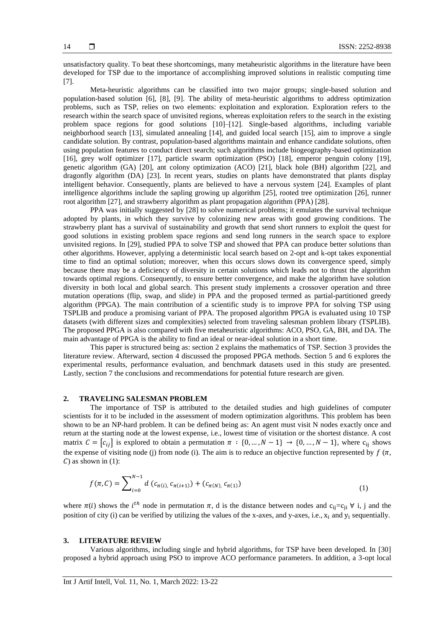unsatisfactory quality. To beat these shortcomings, many metaheuristic algorithms in the literature have been developed for TSP due to the importance of accomplishing improved solutions in realistic computing time [7].

Meta-heuristic algorithms can be classified into two major groups; single-based solution and population-based solution [6], [8], [9]. The ability of meta-heuristic algorithms to address optimization problems, such as TSP, relies on two elements: exploitation and exploration. Exploration refers to the research within the search space of unvisited regions, whereas exploitation refers to the search in the existing problem space regions for good solutions [10]–[12]. Single-based algorithms, including [variable](https://en.wikipedia.org/wiki/Variable_Neighborhood_Search)  [neighborhood search](https://en.wikipedia.org/wiki/Variable_Neighborhood_Search) [13], simulated annealing [14], and [guided local search](https://en.wikipedia.org/wiki/Guided_Local_Search) [15], aim to improve a single candidate solution. By contrast, population-based algorithms maintain and enhance candidate solutions, often using population features to conduct direct search; such algorithms include biogeography-based optimization [16], grey wolf optimizer [17], particle swarm optimization (PSO) [18], emperor penguin colony [19], genetic algorithm (GA) [20], ant colony optimization (ACO) [21], black hole (BH) algorithm [22], and dragonfly algorithm (DA) [23]. In recent years, studies on plants have demonstrated that plants display intelligent behavior. Consequently, plants are believed to have a nervous system [24]. Examples of plant intelligence algorithms include the sapling growing up algorithm [25], rooted tree optimization [26], runner root algorithm [27], and strawberry algorithm as plant propagation algorithm (PPA) [28].

PPA was initially suggested by [28] to solve numerical problems; it emulates the survival technique adopted by plants, in which they survive by colonizing new areas with good growing conditions. The strawberry plant has a survival of sustainability and growth that send short runners to exploit the quest for good solutions in existing problem space regions and send long runners in the search space to explore unvisited regions. In [29], studied PPA to solve TSP and showed that PPA can produce better solutions than other algorithms. However, applying a deterministic local search based on 2-opt and k-opt takes exponential time to find an optimal solution; moreover, when this occurs slows down its convergence speed, simply because there may be a deficiency of diversity in certain solutions which leads not to thrust the algorithm towards optimal regions. Consequently, to ensure better convergence, and make the algorithm have solution diversity in both local and global search. This present study implements a crossover operation and three mutation operations (flip, swap, and slide) in PPA and the proposed termed as partial-partitioned greedy algorithm (PPGA). The main contribution of a scientific study is to improve PPA for solving TSP using TSPLIB and produce a promising variant of PPA. The proposed algorithm PPGA is evaluated using 10 TSP datasets (with different sizes and complexities) selected from traveling salesman problem library (TSPLIB). The proposed PPGA is also compared with five metaheuristic algorithms: ACO, PSO, GA, BH, and DA. The main advantage of PPGA is the ability to find an ideal or near-ideal solution in a short time.

This paper is structured being as: section 2 explains the mathematics of TSP. Section 3 provides the literature review. Afterward, section 4 discussed the proposed PPGA methods. Section 5 and 6 explores the experimental results, performance evaluation, and benchmark datasets used in this study are presented. Lastly, section 7 the conclusions and recommendations for potential future research are given.

#### **2. TRAVELING SALESMAN PROBLEM**

The importance of TSP is attributed to the detailed studies and high guidelines of computer scientists for it to be included in the assessment of modern optimization algorithms. This problem has been shown to be an NP-hard problem. It can be defined being as: An agent must visit N nodes exactly once and return at the starting node at the lowest expense, i.e., lowest time of visitation or the shortest distance. A cost matrix  $C = [c_{ij}]$  is explored to obtain a permutation  $\pi : \{0, ..., N-1\} \to \{0, ..., N-1\}$ , where  $c_{ij}$  shows the expense of visiting node (i) from node (i). The aim is to reduce an objective function represented by  $f(\pi, \theta)$  $\mathcal{C}$ ) as shown in (1):

$$
f(\pi, C) = \sum_{i=0}^{N-1} d(c_{\pi(i)}, c_{\pi(i+1)}) + (c_{\pi(N)}, c_{\pi(1)})
$$
\n(1)

where  $\pi(i)$  shows the *i*<sup>th</sup> node in permutation  $\pi$ , d is the distance between nodes and c<sub>ij</sub>=c<sub>ji</sub> ∀ i, j and the position of city (i) can be verified by utilizing the values of the x-axes, and y-axes, i.e.,  $x_i$  and  $y_i$  sequentially.

#### **3. LITERATURE REVIEW**

Various algorithms, including single and hybrid algorithms, for TSP have been developed. In [30] proposed a hybrid approach using PSO to improve ACO performance parameters. In addition, a 3-opt local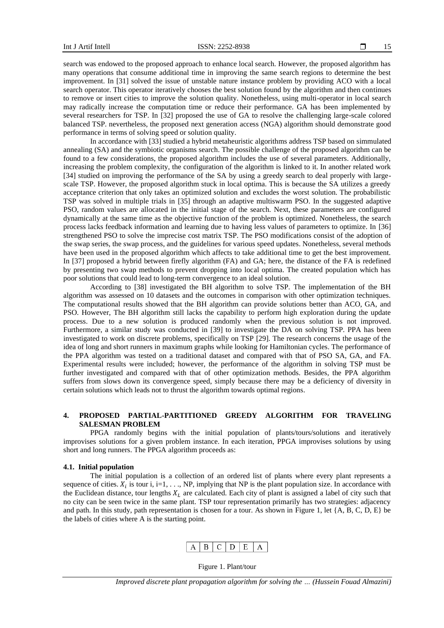$\Box$ 15

search was endowed to the proposed approach to enhance local search. However, the proposed algorithm has many operations that consume additional time in improving the same search regions to determine the best improvement. In [31] solved the issue of unstable nature instance problem by providing ACO with a local search operator. This operator iteratively chooses the best solution found by the algorithm and then continues to remove or insert cities to improve the solution quality. Nonetheless, using multi-operator in local search may radically increase the computation time or reduce their performance. GA has been implemented by several researchers for TSP. In [32] proposed the use of GA to resolve the challenging large-scale colored balanced TSP. nevertheless, the proposed next generation access (NGA) algorithm should demonstrate good performance in terms of solving speed or solution quality.

In accordance with [33] studied a hybrid metaheuristic algorithms address TSP based on simmulated annealing (SA) and the symbiotic organisms search. The possible challenge of the proposed algorithm can be found to a few considerations, the proposed algorithm includes the use of several parameters. Additionally, increasing the problem complexity, the configuration of the algorithm is linked to it. In another related work [34] studied on improving the performance of the SA by using a greedy search to deal properly with largescale TSP. However, the proposed algorithm stuck in local optima. This is because the SA utilizes a greedy acceptance criterion that only takes an optimized solution and excludes the worst solution. The probabilistic TSP was solved in multiple trials in [35] through an adaptive multiswarm PSO. In the suggested adaptive PSO, random values are allocated in the initial stage of the search. Next, these parameters are configured dynamically at the same time as the objective function of the problem is optimized. Nonetheless, the search process lacks feedback information and learning due to having less values of parameters to optimize. In [36] strengthened PSO to solve the imprecise cost matrix TSP. The PSO modifications consist of the adoption of the swap series, the swap process, and the guidelines for various speed updates. Nonetheless, several methods have been used in the proposed algorithm which affects to take additional time to get the best improvement. In [37] proposed a hybrid between firefly algorithm (FA) and GA; here, the distance of the FA is redefined by presenting two swap methods to prevent dropping into local optima. The created population which has poor solutions that could lead to long-term convergence to an ideal solution.

According to [38] investigated the BH algorithm to solve TSP. The implementation of the BH algorithm was assessed on 10 datasets and the outcomes in comparison with other optimization techniques. The computational results showed that the BH algorithm can provide solutions better than ACO, GA, and PSO. However, The BH algorithm still lacks the capability to perform high exploration during the update process. Due to a new solution is produced randomly when the previous solution is not improved. Furthermore, a similar study was conducted in [39] to investigate the DA on solving TSP. PPA has been investigated to work on discrete problems, specifically on TSP [29]. The research concerns the usage of the idea of long and short runners in maximum graphs while looking for Hamiltonian cycles. The performance of the PPA algorithm was tested on a traditional dataset and compared with that of PSO SA, GA, and FA. Experimental results were included; however, the performance of the algorithm in solving TSP must be further investigated and compared with that of other optimization methods. Besides, the PPA algorithm suffers from slows down its convergence speed, simply because there may be a deficiency of diversity in certain solutions which leads not to thrust the algorithm towards optimal regions.

#### **4. PROPOSED PARTIAL-PARTITIONED GREEDY ALGORITHM FOR TRAVELING SALESMAN PROBLEM**

PPGA randomly begins with the initial population of plants/tours/solutions and iteratively improvises solutions for a given problem instance. In each iteration, PPGA improvises solutions by using short and long runners. The PPGA algorithm proceeds as:

#### **4.1. Initial population**

The initial population is a collection of an ordered list of plants where every plant represents a sequence of cities.  $X_i$  is tour i, i=1, ..., NP, implying that NP is the plant population size. In accordance with the Euclidean distance, tour lengths  $X_L$  are calculated. Each city of plant is assigned a label of city such that no city can be seen twice in the same plant. TSP tour representation primarily has two strategies: adjacency and path. In this study, path representation is chosen for a tour. As shown in Figure 1, let  $\{A, B, C, D, E\}$  be the labels of cities where A is the starting point.



Figure 1. Plant/tour

*Improved discrete plant propagation algorithm for solving the … (Hussein Fouad Almazini)*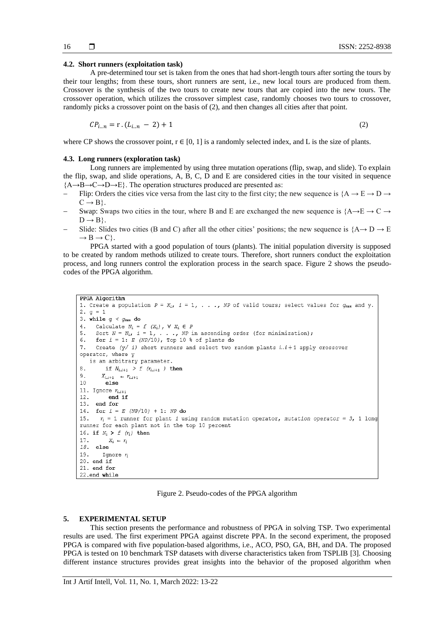#### **4.2. Short runners (exploitation task)**

A pre-determined tour set is taken from the ones that had short-length tours after sorting the tours by their tour lengths; from these tours, short runners are sent, i.e., new local tours are produced from them. Crossover is the synthesis of the two tours to create new tours that are copied into the new tours. The crossover operation, which utilizes the crossover simplest case, randomly chooses two tours to crossover, randomly picks a crossover point on the basis of (2), and then changes all cities after that point.

$$
CP_{i...n} = r \cdot (L_{i...n} - 2) + 1 \tag{2}
$$

where CP shows the crossover point,  $r \in [0, 1]$  is a randomly selected index, and L is the size of plants.

#### **4.3. Long runners (exploration task)**

Long runners are implemented by using three mutation operations (flip, swap, and slide). To explain the flip, swap, and slide operations, A, B, C, D and E are considered cities in the tour visited in sequence  ${A \rightarrow B \rightarrow C \rightarrow D \rightarrow E}$ . The operation structures produced are presented as:

- Flip: Orders the cities vice versa from the last city to the first city; the new sequence is  ${A \rightarrow E \rightarrow D \rightarrow A}$  $C \rightarrow B$ .
- Swap: Swaps two cities in the tour, where B and E are exchanged the new sequence is  ${A\rightarrow E \rightarrow C \rightarrow E}$  $D \rightarrow B$ .
- Slide: Slides two cities (B and C) after all the other cities' positions; the new sequence is  ${A \rightarrow D \rightarrow E}$  $\rightarrow$  B  $\rightarrow$  C.

PPGA started with a good population of tours (plants). The initial population diversity is supposed to be created by random methods utilized to create tours. Therefore, short runners conduct the exploitation process, and long runners control the exploration process in the search space. Figure 2 shows the pseudocodes of the PPGA algorithm.

```
PPGA Algorithm
1. Create a population P = X_i, i = 1, \ldots, NP of valid tours; select values for g_{\text{max}} and y.
2. \sigma = 13. while q < q_{max} do
4.
     Calculate N_i = f(X_i), \forall X_i \in P5. Sort N = N_{i}, i = 1, \ldots, NP in ascending order (for minimization);
6. for i = 1: E (NP/10), Top 10 % of plants do
     Create (y / i) short runners and select two random plants i..i + 1 apply crossover
7.
operator, where y
   is an arbitrary parameter.
8.
        if N_{i,i+1} > f (r_{i,i+1}) then
QX_{i\ldots i+1} \leftarrow r_{i\ldots i+1}10_{\text{else}}11. Ignore r_{i,i+1}12.end if
13. end for
14. for i = E (NP/10) + 1: NP do
15.
      r_i = 1 runner for plant i using random mutation operator, mutation operator = 3, 1 long
runner for each plant not in the top 10 percent
16. if N_i > f(r_i) then
17.
          X_i - r_i18. else
19.
        Ignore r_i20. end if
21. end for
22.end while
```
#### Figure 2. Pseudo-codes of the PPGA algorithm

#### **5. EXPERIMENTAL SETUP**

This section presents the performance and robustness of PPGA in solving TSP. Two experimental results are used. The first experiment PPGA against discrete PPA. In the second experiment, the proposed PPGA is compared with five population-based algorithms, i.e., ACO, PSO, GA, BH, and DA. The proposed PPGA is tested on 10 benchmark TSP datasets with diverse characteristics taken from TSPLIB [3]. Choosing different instance structures provides great insights into the behavior of the proposed algorithm when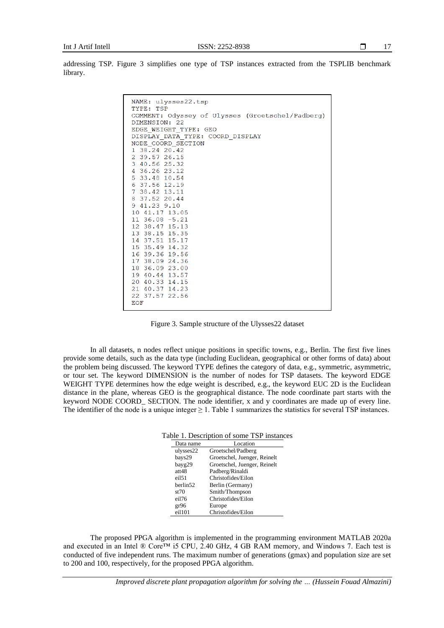addressing TSP. Figure 3 simplifies one type of TSP instances extracted from the TSPLIB benchmark library.

| NAME: ulysses22.tsp<br>TYPE: TSP                                  |
|-------------------------------------------------------------------|
| COMMENT: Odyssey of Ulysses (Groetschel/Padberg)<br>DIMENSION: 22 |
| EDGE WEIGHT TYPE: GEO                                             |
| DISPLAY DATA TYPE: COORD DISPLAY                                  |
| NODE COORD SECTION                                                |
| 1 38.24 20.42                                                     |
| 2 39.57 26.15                                                     |
| 3 40.56 25.32                                                     |
| 4 36.26 23.12                                                     |
| 5 33.48 10.54                                                     |
| 6 37.56 12.19<br>7 38.42 13.11                                    |
| 8 37.52 20.44                                                     |
| 941.239.10                                                        |
| 10 41.17 13.05                                                    |
| $11$ 36.08 $-5.21$                                                |
| 12 38.47 15.13                                                    |
| 13 38.15 15.35                                                    |
| 14 37.51 15.17                                                    |
| 15 35.49 14.32                                                    |
| 16 39.36 19.56                                                    |
| 17 38.09 24.36                                                    |
| 18 36.09 23.00<br>19 40.44 13.57                                  |
| 20 40.33 14.15                                                    |
| 21 40.37 14.23                                                    |
| 22 37.57 22.56                                                    |
| <b>EOF</b>                                                        |
|                                                                   |

Figure 3. Sample structure of the Ulysses22 dataset

In all datasets, n nodes reflect unique positions in specific towns, e.g., Berlin. The first five lines provide some details, such as the data type (including Euclidean, geographical or other forms of data) about the problem being discussed. The keyword TYPE defines the category of data, e.g., symmetric, asymmetric, or tour set. The keyword DIMENSION is the number of nodes for TSP datasets. The keyword EDGE WEIGHT TYPE determines how the edge weight is described, e.g., the keyword EUC 2D is the Euclidean distance in the plane, whereas GEO is the geographical distance. The node coordinate part starts with the keyword NODE COORD\_ SECTION. The node identifier, x and y coordinates are made up of every line. The identifier of the node is a unique integer  $\geq 1$ . Table 1 summarizes the statistics for several TSP instances.

| Data name            | Location                     |
|----------------------|------------------------------|
| ulysses22            | Groetschel/Padberg           |
| bays29               | Groetschel, Juenger, Reinelt |
| bayg29               | Groetschel, Juenger, Reinelt |
| att48                | Padberg/Rinaldi              |
| $e$ il $51$          | Christofides/Eilon           |
| berlin <sub>52</sub> | Berlin (Germany)             |
| st70                 | Smith/Thompson               |
| eil76                | Christofides/Eilon           |
| gr96                 | Europe                       |
| ei1101               | Christofides/Eilon           |

The proposed PPGA algorithm is implemented in the programming environment MATLAB 2020a and executed in an Intel ® Core™ i5 CPU, 2.40 GHz, 4 GB RAM memory, and Windows 7. Each test is conducted of five independent runs. The maximum number of generations (gmax) and population size are set to 200 and 100, respectively, for the proposed PPGA algorithm.

*Improved discrete plant propagation algorithm for solving the … (Hussein Fouad Almazini)*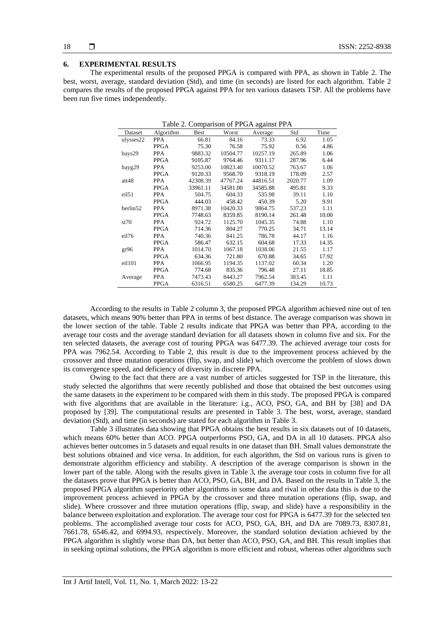#### **6. EXPERIMENTAL RESULTS**

The experimental results of the proposed PPGA is compared with PPA, as shown in Table 2. The best, worst, average, standard deviation (Std), and time (in seconds) are listed for each algorithm. Table 2 compares the results of the proposed PPGA against PPA for ten various datasets TSP. All the problems have been run five times independently.

| Table 2. Comparison of PPGA against PPA |             |             |          |          |         |       |  |  |
|-----------------------------------------|-------------|-------------|----------|----------|---------|-------|--|--|
| Dataset                                 | Algorithm   | <b>Best</b> | Worst    | Average  | Std     | Time  |  |  |
| ulysses22                               | <b>PPA</b>  | 66.81       | 84.16    | 73.33    | 6.92    | 1.05  |  |  |
|                                         | <b>PPGA</b> | 75.30       | 76.58    | 75.92    | 0.56    | 4.86  |  |  |
| bays29                                  | <b>PPA</b>  | 9883.32     | 10504.77 | 10257.19 | 265.89  | 1.06  |  |  |
|                                         | <b>PPGA</b> | 9105.87     | 9764.46  | 9311.17  | 287.96  | 6.44  |  |  |
| bayg29                                  | <b>PPA</b>  | 9253.00     | 10823.40 | 10070.52 | 763.67  | 1.06  |  |  |
|                                         | <b>PPGA</b> | 9120.33     | 9568.70  | 9318.19  | 178.09  | 2.57  |  |  |
| att48                                   | <b>PPA</b>  | 42308.39    | 47767.24 | 44816.51 | 2020.77 | 1.09  |  |  |
|                                         | <b>PPGA</b> | 33961.11    | 34581.00 | 34585.88 | 495.81  | 9.33  |  |  |
| eil51                                   | <b>PPA</b>  | 504.75      | 604.33   | 535.98   | 39.11   | 1.10  |  |  |
|                                         | <b>PPGA</b> | 444.03      | 458.42   | 450.39   | 5.20    | 9.91  |  |  |
| berlin52                                | <b>PPA</b>  | 8971.38     | 10420.33 | 9864.75  | 537.23  | 1.11  |  |  |
|                                         | <b>PPGA</b> | 7748.63     | 8359.85  | 8190.14  | 261.48  | 10.00 |  |  |
| st70                                    | <b>PPA</b>  | 924.72      | 1125.70  | 1045.35  | 74.88   | 1.10  |  |  |
|                                         | <b>PPGA</b> | 714.36      | 804.27   | 770.25   | 34.71   | 13.14 |  |  |
| eil76                                   | <b>PPA</b>  | 740.36      | 841.25   | 786.78   | 44.17   | 1.16  |  |  |
|                                         | <b>PPGA</b> | 586.47      | 632.15   | 604.68   | 17.33   | 14.35 |  |  |
| gr96                                    | <b>PPA</b>  | 1014.70     | 1067.18  | 1038.06  | 21.55   | 1.17  |  |  |
|                                         | <b>PPGA</b> | 634.36      | 721.80   | 670.88   | 34.65   | 17.92 |  |  |
| ei1101                                  | <b>PPA</b>  | 1066.95     | 1194.35  | 1137.02  | 60.34   | 1.20  |  |  |
|                                         | <b>PPGA</b> | 774.68      | 835.36   | 796.48   | 27.11   | 18.85 |  |  |
| Average                                 | <b>PPA</b>  | 7473.43     | 8443.27  | 7962.54  | 383.45  | 1.11  |  |  |
|                                         | <b>PPGA</b> | 6316.51     | 6580.25  | 6477.39  | 134.29  | 10.73 |  |  |

According to the results in Table 2 column 3, the proposed PPGA algorithm achieved nine out of ten datasets, which means 90% better than PPA in terms of best distance. The average comparison was shown in the lower section of the table. Table 2 results indicate that PPGA was better than PPA, according to the average tour costs and the average standard deviation for all datasets shown in column five and six. For the ten selected datasets, the average cost of touring PPGA was 6477.39. The achieved average tour costs for PPA was 7962.54. According to Table 2, this result is due to the improvement process achieved by the crossover and three mutation operations (flip, swap, and slide) which overcome the problem of slows down its convergence speed, and deficiency of diversity in discrete PPA.

Owing to the fact that there are a vast number of articles suggested for TSP in the literature, this study selected the algorithms that were recently published and those that obtained the best outcomes using the same datasets in the experiment to be compared with them in this study. The proposed PPGA is compared with five algorithms that are available in the literature: i.g., ACO, PSO, GA, and BH by [38] and DA proposed by [39]. The computational results are presented in Table 3. The best, worst, average, standard deviation (Std), and time (in seconds) are stated for each algorithm in Table 3.

Table 3 illustrates data showing that PPGA obtains the best results in six datasets out of 10 datasets, which means 60% better than ACO. PPGA outperforms PSO, GA, and DA in all 10 datasets. PPGA also achieves better outcomes in 5 datasets and equal results in one dataset than BH. Small values demonstrate the best solutions obtained and vice versa. In addition, for each algorithm, the Std on various runs is given to demonstrate algorithm efficiency and stability. A description of the average comparison is shown in the lower part of the table. Along with the results given in Table 3, the average tour costs in column five for all the datasets prove that PPGA is better than ACO, PSO, GA, BH, and DA. Based on the results in Table 3, the proposed PPGA algorithm superiority other algorithms in some data and rival in other data this is due to the improvement process achieved in PPGA by the crossover and three mutation operations (flip, swap, and slide). Where crossover and three mutation operations (flip, swap, and slide) have a responsibility in the balance between exploitation and exploration. The average tour cost for PPGA is 6477.39 for the selected ten problems. The accomplished average tour costs for ACO, PSO, GA, BH, and DA are 7089.73, 8307.81, 7661.78, 6546.42, and 6994.93, respectively. Moreover, the standard solution deviation achieved by the PPGA algorithm is slightly worse than DA, but better than ACO, PSO, GA, and BH. This result implies that in seeking optimal solutions, the PPGA algorithm is more efficient and robust, whereas other algorithms such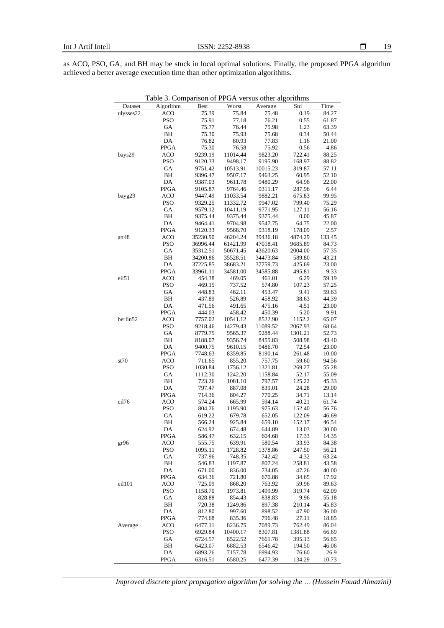as ACO, PSO, GA, and BH may be stuck in local optimal solutions. Finally, the proposed PPGA algorithm achieved a better average execution time than other optimization algorithms.

|           | Table 3. Comparison of PPGA versus other algorithms |                      |                      |                      |                    |                |  |  |  |
|-----------|-----------------------------------------------------|----------------------|----------------------|----------------------|--------------------|----------------|--|--|--|
| Dataset   | Algorithm                                           | <b>Best</b>          | Worst                | Average              | Std                | Time           |  |  |  |
| ulysses22 | <b>ACO</b>                                          | 75.39                | 75.84                | 75.48                | 0.19               | 84.27          |  |  |  |
|           | <b>PSO</b>                                          | 75.91                | 77.18                | 76.21                | 0.55               | 61.87          |  |  |  |
|           | GA                                                  | 75.77                | 76.44                | 75.98                | 1.23               | 63.39          |  |  |  |
|           | ВH                                                  | 75.30                | 75.93                | 75.68                | 0.34               | 50.44          |  |  |  |
|           | DA                                                  | 76.82                | 80.93                | 77.83                | 1.16               | 21.00          |  |  |  |
|           | PPGA                                                | 75.30                | 76.58                | 75.92                | 0.56               | 4.86           |  |  |  |
| bays29    | <b>ACO</b>                                          | 9239.19              | 11014.44             | 9823.20              | 722.41             | 88.25          |  |  |  |
|           | <b>PSO</b>                                          | 9120.33              | 9498.17              | 9195.90              | 168.97             | 88.82          |  |  |  |
|           | GА                                                  | 9751.42              | 10513.91             | 10015.23             | 319.87             | 57.11          |  |  |  |
|           | BH                                                  | 9396.47              | 9507.17              | 9463.25              | 60.95              | 52.10          |  |  |  |
|           | DA                                                  | 9387.03              | 9611.78              | 9480.29              | 64.96              | 22.00          |  |  |  |
|           | <b>PPGA</b>                                         | 9105.87              | 9764.46              | 9311.17              | 287.96             | 6.44           |  |  |  |
| bayg29    | <b>ACO</b>                                          | 9447.49              | 11033.54             | 9882.21              | 675.83             | 99.95          |  |  |  |
|           | <b>PSO</b>                                          | 9329.25              | 11332.72             | 9947.02              | 799.40             | 75.29          |  |  |  |
|           | GA                                                  | 9579.12              | 10411.19             | 9771.95              | 127.11             | 56.16          |  |  |  |
|           | BH                                                  | 9375.44              | 9375.44              | 9375.44              | 0.00               | 45.87          |  |  |  |
|           | DA                                                  | 9464.41              | 9704.98              | 9547.75              | 64.75              | 22.00          |  |  |  |
|           | PPGA                                                | 9120.33              | 9568.70              | 9318.19              | 178.09             | 2.57           |  |  |  |
| att48     | ACO                                                 | 35230.90             | 46204.24             | 39436.18             | 4874.29            | 133.45         |  |  |  |
|           | <b>PSO</b>                                          | 36996.44             | 61421.99             | 47018.41             | 9685.89<br>2004.00 | 84.73          |  |  |  |
|           | GA                                                  | 35312.51             | 50671.45             | 43620.63             | 589.80             | 57.35          |  |  |  |
|           | ВH                                                  | 34200.86<br>37225.85 | 35528.51             | 34473.84             |                    | 43.21          |  |  |  |
|           | DA<br><b>PPGA</b>                                   | 33961.11             | 38683.21<br>34581.00 | 37759.73<br>34585.88 | 425.69<br>495.81   | 23.00<br>9.33  |  |  |  |
| eil51     | <b>ACO</b>                                          | 454.38               | 469.05               | 461.01               | 6.29               | 59.19          |  |  |  |
|           | <b>PSO</b>                                          | 469.15               | 737.52               | 574.80               | 107.23             | 57.25          |  |  |  |
|           | GA                                                  | 448.83               | 462.11               | 453.47               | 9.41               | 59.63          |  |  |  |
|           | BH                                                  | 437.89               | 526.89               | 458.92               | 38.63              | 44.39          |  |  |  |
|           | DA                                                  | 471.56               | 491.65               | 475.16               | 4.51               | 23.00          |  |  |  |
|           | <b>PPGA</b>                                         | 444.03               | 458.42               | 450.39               | 5.20               | 9.91           |  |  |  |
| berlin52  | <b>ACO</b>                                          | 7757.02              | 10541.12             | 8522.90              | 1152.2             | 65.07          |  |  |  |
|           | <b>PSO</b>                                          | 9218.46              | 14279.43             | 11089.52             | 2067.93            | 68.64          |  |  |  |
|           | GА                                                  | 8779.75              | 9565.37              | 9288.44              | 1301.21            | 52.73          |  |  |  |
|           | ВH                                                  | 8188.07              | 9356.74              | 8455.83              | 508.98             | 43.40          |  |  |  |
|           | DA                                                  | 9400.75              | 9610.15              | 9486.70              | 72.54              | 23.00          |  |  |  |
|           | PPGA                                                | 7748.63              | 8359.85              | 8190.14              | 261.48             | 10.00          |  |  |  |
| st70      | ACO                                                 | 711.65               | 855.20               | 757.75               | 59.60              | 94.56          |  |  |  |
|           | <b>PSO</b>                                          | 1030.84              | 1756.12              | 1321.81              | 269.27             | 55.28          |  |  |  |
|           | GА                                                  | 1112.30              | 1242.20              | 1158.84              | 52.17              | 55.09          |  |  |  |
|           | BH                                                  | 723.26               | 1081.10              | 797.57               | 125.22             | 45.33          |  |  |  |
|           | DA                                                  | 797.47               | 887.08               | 839.01               | 24.28              | 29.00          |  |  |  |
|           | <b>PPGA</b>                                         | 714.36               | 804.27               | 770.25               | 34.71              | 13.14          |  |  |  |
| eil76     | <b>ACO</b>                                          | 574.24               | 665.99               | 594.14               | 40.21              | 61.74          |  |  |  |
|           | <b>PSO</b>                                          | 804.26               | 1195.90              | 975.63               | 152.40             | 56.76          |  |  |  |
|           | GA                                                  | 619.22               | 679.78               | 652.05               | 122.09             | 46.69          |  |  |  |
|           | ВH                                                  | 566.24               | 925.84               | 659.10               | 152.17             | 46.54          |  |  |  |
|           | DA                                                  | 624.92               | 674.48               | 644.89               | 13.03              | 30.00          |  |  |  |
|           | PPGA                                                | 586.47               | 632.15               | 604.68               | 17.33              | 14.35          |  |  |  |
| gr96      | ACO                                                 | 555.75               | 639.91               | 580.54               | 33.93              | 84.38          |  |  |  |
|           | <b>PSO</b>                                          | 1095.11              | 1728.82              | 1378.86              | 247.50             | 56.21          |  |  |  |
|           | GA                                                  | 737.96               | 748.35               | 742.42               | 4.32               | 63.24          |  |  |  |
|           | ВH                                                  | 546.83               | 1197.87              | 807.24               | 258.81             | 43.58          |  |  |  |
|           | DA<br><b>PPGA</b>                                   | 671.00               | 836.00               | 734.05               | 47.26              | 40.00          |  |  |  |
| ei1101    | <b>ACO</b>                                          | 634.36<br>725.09     | 721.80<br>868.20     | 670.88<br>763.92     | 34.65<br>59.96     | 17.92<br>89.63 |  |  |  |
|           | <b>PSO</b>                                          |                      | 1973.81              | 1499.99              | 319.74             |                |  |  |  |
|           | GA                                                  | 1158.70<br>828.88    | 854.43               | 838.83               | 9.96               | 62.09<br>55.18 |  |  |  |
|           | ВH                                                  | 720.38               | 1249.86              | 897.38               | 210.14             | 45.83          |  |  |  |
|           | DA                                                  | 812.80               | 997.60               | 898.52               | 47.90              | 36.00          |  |  |  |
|           | <b>PPGA</b>                                         | 774.68               | 835.36               | 796.48               | 27.11              | 18.85          |  |  |  |
| Average   | <b>ACO</b>                                          | 6477.11              | 8236.75              | 7089.73              | 762.49             | 86.04          |  |  |  |
|           | <b>PSO</b>                                          | 6929.84              | 10400.17             | 8307.81              | 1381.88            | 66.69          |  |  |  |
|           | GA                                                  | 6724.57              | 8522.52              | 7661.78              | 395.13             | 56.65          |  |  |  |
|           | ΒH                                                  | 6423.07              | 6882.53              | 6546.42              | 194.50             | 46.06          |  |  |  |
|           | DA                                                  | 6893.26              | 7157.78              | 6994.93              | 76.60              | 26.9           |  |  |  |
|           | <b>PPGA</b>                                         | 6316.51              | 6580.25              | 6477.39              | 134.29             | 10.73          |  |  |  |

*Improved discrete plant propagation algorithm for solving the … (Hussein Fouad Almazini)*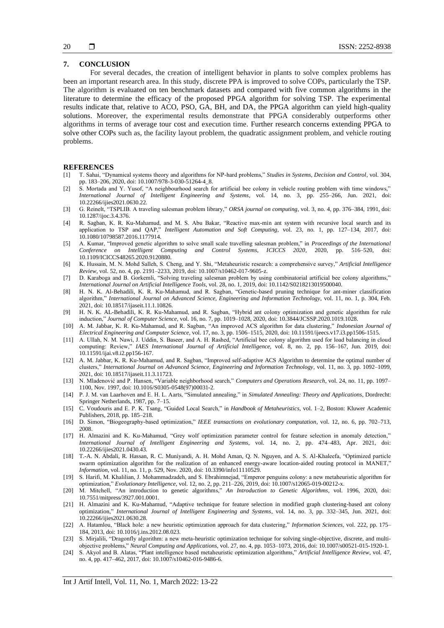#### **7. CONCLUSION**

For several decades, the creation of intelligent behavior in plants to solve complex problems has been an important research area. In this study, discrete PPA is improved to solve COPs, particularly the TSP. The algorithm is evaluated on ten benchmark datasets and compared with five common algorithms in the literature to determine the efficacy of the proposed PPGA algorithm for solving TSP. The experimental results indicate that, relative to ACO, PSO, GA, BH, and DA, the PPGA algorithm can yield high-quality solutions. Moreover, the experimental results demonstrate that PPGA considerably outperforms other algorithms in terms of average tour cost and execution time. Further research concerns extending PPGA to solve other COPs such as, the facility layout problem, the quadratic assignment problem, and vehicle routing problems.

#### **REFERENCES**

- [1] T. Sahai, "Dynamical systems theory and algorithms for NP-hard problems," *Studies in Systems, Decision and Control*, vol. 304, pp. 183–206, 2020, doi: 10.1007/978-3-030-51264-4\_8.
- [2] S. Mortada and Y. Yusof, "A neighbourhood search for artificial bee colony in vehicle routing problem with time windows," *International Journal of Intelligent Engineering and Systems*, vol. 14, no. 3, pp. 255–266, Jun. 2021, doi: 10.22266/ijies2021.0630.22.
- [3] G. Reinelt, "TSPLIB. A traveling salesman problem library," *ORSA journal on computing*, vol. 3, no. 4, pp. 376–384, 1991, doi: 10.1287/ijoc.3.4.376.
- [4] R. Sagban, K. R. Ku-Mahamud, and M. S. Abu Bakar, "Reactive max-min ant system with recursive local search and its application to TSP and QAP," *Intelligent Automation and Soft Computing*, vol. 23, no. 1, pp. 127–134, 2017, doi: 10.1080/10798587.2016.1177914.
- [5] A. Kumar, "Improved genetic algorithm to solve small scale travelling salesman problem," in *Proceedings of the International Conference on Intelligent Computing and Control Systems, ICICCS 2020*, 2020, pp. 516–520, 10.1109/ICICCS48265.2020.9120880.
- [6] K. Hussain, M. N. Mohd Salleh, S. Cheng, and Y. Shi, "Metaheuristic research: a comprehensive survey," *Artificial Intelligence Review*, vol. 52, no. 4, pp. 2191–2233, 2019, doi: 10.1007/s10462-017-9605-z.
- [7] D. Karaboga and B. Gorkemli, "Solving traveling salesman problem by using combinatorial artificial bee colony algorithms," *International Journal on Artificial Intelligence Tools*, vol. 28, no. 1, 2019, doi: 10.1142/S0218213019500040.
- [8] H. N. K. Al-Behadili, K. R. Ku-Mahamud, and R. Sagban, "Genetic-based pruning technique for ant-miner classification algorithm," *International Journal on Advanced Science, Engineering and Information Technology*, vol. 11, no. 1, p. 304, Feb. 2021, doi: 10.18517/ijaseit.11.1.10826.
- [9] H. N. K. AL-Behadili, K. R. Ku-Mahamud, and R. Sagban, "Hybrid ant colony optimization and genetic algorithm for rule induction," *Journal of Computer Science*, vol. 16, no. 7, pp. 1019–1028, 2020, doi: 10.3844/JCSSP.2020.1019.1028.
- [10] A. M. Jabbar, K. R. Ku-Mahamud, and R. Sagban, "An improved ACS algorithm for data clustering," *Indonesian Journal of Electrical Engineering and Computer Science*, vol. 17, no. 3, pp. 1506–1515, 2020, doi: 10.11591/ijeecs.v17.i3.pp1506-1515.
- [11] A. Ullah, N. M. Nawi, J. Uddin, S. Baseer, and A. H. Rashed, "Artificial bee colony algorithm used for load balancing in cloud computing: Review," *IAES International Journal of Artificial Intelligence*, vol. 8, no. 2, pp. 156–167, Jun. 2019, doi: 10.11591/ijai.v8.i2.pp156-167.
- [12] A. M. Jabbar, K. R. Ku-Mahamud, and R. Sagban, "Improved self-adaptive ACS Algorithm to determine the optimal number of clusters," *International Journal on Advanced Science, Engineering and Information Technology*, vol. 11, no. 3, pp. 1092–1099, 2021, doi: 10.18517/ijaseit.11.3.11723.
- [13] N. Mladenović and P. Hansen, "Variable neighborhood search," *Computers and Operations Research*, vol. 24, no. 11, pp. 1097– 1100, Nov. 1997, doi: 10.1016/S0305-0548(97)00031-2.
- [14] P. J. M. van Laarhoven and E. H. L. Aarts, "Simulated annealing," in *Simulated Annealing: Theory and Applications*, Dordrecht: Springer Netherlands, 1987, pp. 7–15.
- [15] C. Voudouris and E. P. K. Tsang, "Guided Local Search," in *Handbook of Metaheuristics*, vol. 1–2, Boston: Kluwer Academic Publishers, 2018, pp. 185–218.
- [16] D. Simon, "Biogeography-based optimization," *IEEE transactions on evolutionary computation*, vol. 12, no. 6, pp. 702–713, 2008.
- [17] H. Almazini and K. Ku-Mahamud, "Grey wolf optimization parameter control for feature selection in anomaly detection," *International Journal of Intelligent Engineering and Systems*, vol. 14, no. 2, pp. 474–483, Apr. 2021, doi: 10.22266/ijies2021.0430.43.
- [18] T.-A. N. Abdali, R. Hassan, R. C. Muniyandi, A. H. Mohd Aman, Q. N. Nguyen, and A. S. Al-Khaleefa, "Optimized particle swarm optimization algorithm for the realization of an enhanced energy-aware location-aided routing protocol in MANET," *Information*, vol. 11, no. 11, p. 529, Nov. 2020, doi: 10.3390/info11110529.
- [19] S. Harifi, M. Khalilian, J. Mohammadzadeh, and S. Ebrahimnejad, "Emperor penguins colony: a new metaheuristic algorithm for optimization," *Evolutionary Intelligence*, vol. 12, no. 2, pp. 211–226, 2019, doi: 10.1007/s12065-019-00212-x.
- [20] M. Mitchell, "An introduction to genetic algorithms," *An Introduction to Genetic Algorithms*, vol. 1996, 2020, doi: 10.7551/mitpress/3927.001.0001.
- [21] H. Almazini and K. Ku-Mahamud, "Adaptive technique for feature selection in modified graph clustering-based ant colony optimization," *International Journal of Intelligent Engineering and Systems*, vol. 14, no. 3, pp. 332–345, Jun. 2021, doi: 10.22266/ijies2021.0630.28.
- [22] A. Hatamlou, "Black hole: a new heuristic optimization approach for data clustering," *Information Sciences*, vol. 222, pp. 175– 184, 2013, doi: 10.1016/j.ins.2012.08.023.
- [23] S. Mirjalili, "Dragonfly algorithm: a new meta-heuristic optimization technique for solving single-objective, discrete, and multiobjective problems," *Neural Computing and Applications*, vol. 27, no. 4, pp. 1053–1073, 2016, doi: 10.1007/s00521-015-1920-1.
- [24] S. Akyol and B. Alatas, "Plant intelligence based metaheuristic optimization algorithms," *Artificial Intelligence Review*, vol. 47, no. 4, pp. 417–462, 2017, doi: 10.1007/s10462-016-9486-6.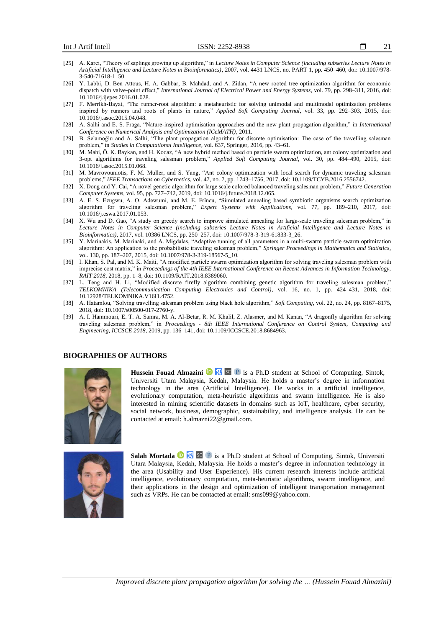- [25] A. Karci, "Theory of saplings growing up algorithm," in *Lecture Notes in Computer Science (including subseries Lecture Notes in Artificial Intelligence and Lecture Notes in Bioinformatics)*, 2007, vol. 4431 LNCS, no. PART 1, pp. 450–460, doi: 10.1007/978- 3-540-71618-1\_50.
- [26] Y. Labbi, D. Ben Attous, H. A. Gabbar, B. Mahdad, and A. Zidan, "A new rooted tree optimization algorithm for economic dispatch with valve-point effect," *International Journal of Electrical Power and Energy Systems*, vol. 79, pp. 298–311, 2016, doi: 10.1016/j.ijepes.2016.01.028.
- [27] F. Merrikh-Bayat, "The runner-root algorithm: a metaheuristic for solving unimodal and multimodal optimization problems inspired by runners and roots of plants in nature," *Applied Soft Computing Journal*, vol. 33, pp. 292–303, 2015, doi: 10.1016/j.asoc.2015.04.048.
- [28] A. Salhi and E. S. Fraga, "Nature-inspired optimisation approaches and the new plant propagation algorithm," in *International Conference on Numerical Analysis and Optimization (ICeMATH)*, 2011.
- [29] B. Selamoğlu and A. Salhi, "The plant propagation algorithm for discrete optimisation: The case of the travelling salesman problem," in *Studies in Computational Intelligence*, vol. 637, Springer, 2016, pp. 43–61.
- [30] M. Mahi, Ö. K. Baykan, and H. Kodaz, "A new hybrid method based on particle swarm optimization, ant colony optimization and 3-opt algorithms for traveling salesman problem," *Applied Soft Computing Journal*, vol. 30, pp. 484–490, 2015, doi: 10.1016/j.asoc.2015.01.068.
- [31] M. Mavrovouniotis, F. M. Muller, and S. Yang, "Ant colony optimization with local search for dynamic traveling salesman problems," *IEEE Transactions on Cybernetics*, vol. 47, no. 7, pp. 1743–1756, 2017, doi: 10.1109/TCYB.2016.2556742.
- [32] X. Dong and Y. Cai, "A novel genetic algorithm for large scale colored balanced traveling salesman problem," *Future Generation Computer Systems*, vol. 95, pp. 727–742, 2019, doi: 10.1016/j.future.2018.12.065.
- [33] A. E. S. Ezugwu, A. O. Adewumi, and M. E. Frîncu, "Simulated annealing based symbiotic organisms search optimization algorithm for traveling salesman problem," *Expert Systems with Applications*, vol. 77, pp. 189–210, 2017, doi: 10.1016/j.eswa.2017.01.053.
- [34] X. Wu and D. Gao, "A study on greedy search to improve simulated annealing for large-scale traveling salesman problem," in Lecture Notes in Computer Science (including subseries Lecture Notes in Artificial Intelligence and Lecture Notes in *Bioinformatics)*, 2017, vol. 10386 LNCS, pp. 250–257, doi: 10.1007/978-3-319-61833-3\_26.
- [35] Y. Marinakis, M. Marinaki, and A. Migdalas, "Adaptive tunning of all parameters in a multi-swarm particle swarm optimization algorithm: An application to the probabilistic traveling salesman problem," *Springer Proceedings in Mathematics and Statistics*, vol. 130, pp. 187–207, 2015, doi: 10.1007/978-3-319-18567-5\_10.
- [36] I. Khan, S. Pal, and M. K. Maiti, "A modified particle swarm optimization algorithm for solving traveling salesman problem with imprecise cost matrix," in *Proceedings of the 4th IEEE International Conference on Recent Advances in Information Technology, RAIT 2018*, 2018, pp. 1–8, doi: 10.1109/RAIT.2018.8389060.
- [37] L. Teng and H. Li, "Modified discrete firefly algorithm combining genetic algorithm for traveling salesman problem," *TELKOMNIKA (Telecommunication Computing Electronics and Control)*, vol. 16, no. 1, pp. 424–431, 2018, doi: 10.12928/TELKOMNIKA.V16I1.4752.
- [38] A. Hatamlou, "Solving travelling salesman problem using black hole algorithm," *Soft Computing*, vol. 22, no. 24, pp. 8167–8175, 2018, doi: 10.1007/s00500-017-2760-y.
- [39] A. I. Hammouri, E. T. A. Samra, M. A. Al-Betar, R. M. Khalil, Z. Alasmer, and M. Kanan, "A dragonfly algorithm for solving traveling salesman problem," in *Proceedings - 8th IEEE International Conference on Control System, Computing and Engineering, ICCSCE 2018*, 2019, pp. 136–141, doi: 10.1109/ICCSCE.2018.8684963.

#### **BIOGRAPHIES OF AUTHORS**



**Hussein Fouad Almazini D N sc P** is a Ph.D student at School of Computing, Sintok, Universiti Utara Malaysia, Kedah, Malaysia. He holds a master's degree in information technology in the area (Artificial Intelligence). He works in a artificial intelligence, evolutionary computation, meta-heuristic algorithms and swarm intelligence. He is also interested in mining scientific datasets in domains such as IoT, healthcare, cyber security, social network, business, demographic, sustainability, and intelligence analysis. He can be contacted at email[: h.almazni22@gmail.com.](mailto:h.almazni22@gmail.com)



Salah Mortada <sup>is a</sup> <sup>sc</sup> P is a Ph.D student at School of Computing, Sintok, Universiti Utara Malaysia, Kedah, Malaysia. He holds a master's degree in information technology in the area (Usability and User Experience). His current research interests include artificial intelligence, evolutionary computation, meta-heuristic algorithms, swarm intelligence, and their applications in the design and optimization of intelligent transportation management such as VRPs. [He can be contacted at email: sms099@yahoo.com.](mailto:%20He%20can%20be%20contacted%20at%20email:%20sms099@yahoo.com)